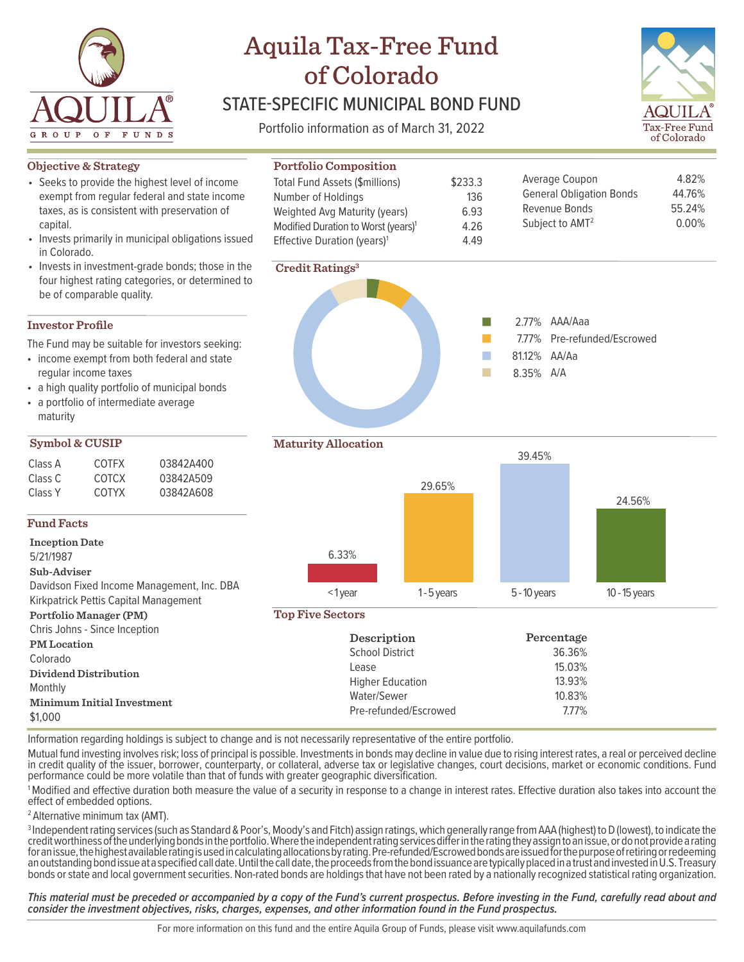

# Aquila Tax-Free Fund of Colorado

## STATE-SPECIFIC MUNICIPAL BOND FUND

Portfolio information as of March 31, 2022

**Portfolio Composition** Total Fund Assets (\$millions)

Number of Holdings



4.82% 44.76%

0.00%

#### **Objective & Strategy**

- Seeks to provide the highest level of income exempt from regular federal and state income taxes, as is consistent with preservation of capital.
- Invests primarily in municipal obligations issued in Colorado.
- Invests in investment-grade bonds; those in the four highest rating categories, or determined to be of comparable quality.

#### **Investor Profile**

The Fund may be suitable for investors seeking:

- income exempt from both federal and state regular income taxes
- a high quality portfolio of municipal bonds
- a portfolio of intermediate average maturity

#### **Symbol & CUSIP**

| Class A | <b>COTEX</b> | 03842A400 |
|---------|--------------|-----------|
| Class C | COTCX        | 03842A509 |
| Class Y | <b>COTYX</b> | 03842A608 |

#### **Fund Facts**

**Inception Date** 5/21/1987

**Sub-Adviser** Davidson Fixed Income Management, Inc. DBA

Kirkpatrick Pettis Capital Ma **Portfolio Manager (PM)**

| Chris Johns - Since Inception |
|-------------------------------|
| <b>PM</b> Location            |
| Colorado                      |

| magement | → ιγ∪u                |
|----------|-----------------------|
|          | <b>Top Five Secto</b> |
| n        |                       |
|          | ς                     |
|          |                       |



\$233.3 136



Average Coupon

General Obligation Bonds

## **Maturity Allocation** 6.33%  $\leq$  1 year 1 - 5 years  $\leq$  5 - 10 years 10 - 15 years 29.65% 39.45% 24.56%

#### **Top Five Sectors**

| Chris Johns - Since Inception                |                         |            |  |
|----------------------------------------------|-------------------------|------------|--|
| <b>PM</b> Location                           | Description             | Percentage |  |
| Colorado                                     | <b>School District</b>  | 36.36%     |  |
|                                              | Lease                   | 15.03%     |  |
| Dividend Distribution                        | <b>Higher Education</b> | 13.93%     |  |
| Monthly                                      | Water/Sewer             | 10.83%     |  |
| <b>Minimum Initial Investment</b><br>\$1,000 | Pre-refunded/Escrowed   | 7.77%      |  |

Information regarding holdings is subject to change and is not necessarily representative of the entire portfolio.

Mutual fund investing involves risk; loss of principal is possible. Investments in bonds may decline in value due to rising interest rates, a real or perceived decline in credit quality of the issuer, borrower, counterparty, or collateral, adverse tax or legislative changes, court decisions, market or economic conditions. Fund performance could be more volatile than that of funds with greater geographic diversification.

1Modified and effective duration both measure the value of a security in response to a change in interest rates. Effective duration also takes into account the effect of embedded options.

<sup>2</sup> Alternative minimum tax (AMT).

<sup>3</sup> Independent rating services (such as Standard & Poor's, Moody's and Fitch) assign ratings, which generally range from AAA (highest) to D (lowest), to indicate the credit worthiness of the underlying bonds in the portfolio. Where the independent rating services differ in the rating they assign to an issue, or do not provide a rating for an issue, the highest available rating is used in calculating allocations by rating. Pre-refunded/Escrowed bonds are issued for the purpose of retiring or redeeming an outstanding bond issue at a specified call date. Until the call date, the proceeds from the bond issuance are typically placed in a trust and invested in U.S. Treasury bonds or state and local government securities. Non-rated bonds are holdings that have not been rated by a nationally recognized statistical rating organization.

*This material must be preceded or accompanied by a copy of the Fund's current prospectus. Before investing in the Fund, carefully read about and consider the investment objectives, risks, charges, expenses, and other information found in the Fund prospectus.*